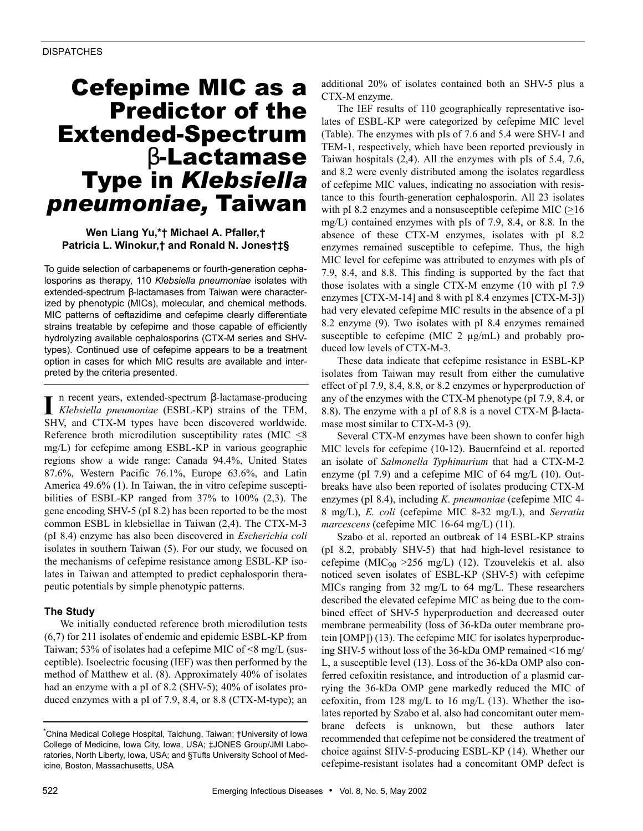# Cefepime MIC as a Predictor of the Extended-Spectrum β-Lactamase Type in *Klebsiella pneumoniae,* Taiwan

## **Wen Liang Yu,\*† Michael A. Pfaller,† Patricia L. Winokur,† and Ronald N. Jones†‡§**

To guide selection of carbapenems or fourth-generation cephalosporins as therapy, 110 *Klebsiella pneumoniae* isolates with extended-spectrum β-lactamases from Taiwan were characterized by phenotypic (MICs), molecular, and chemical methods. MIC patterns of ceftazidime and cefepime clearly differentiate strains treatable by cefepime and those capable of efficiently hydrolyzing available cephalosporins (CTX-M series and SHVtypes). Continued use of cefepime appears to be a treatment option in cases for which MIC results are available and interpreted by the criteria presented.

n recent years, extended-spectrum β-lactamase-producing *Klebsiella pneumoniae* (ESBL-KP) strains of the TEM,  $\prod$  n recent years, extended-spectrum  $\beta$ -lactamase-producing *Klebsiella pneumoniae* (ESBL-KP) strains of the TEM, SHV, and CTX-M types have been discovered worldwide. Reference broth microdilution susceptibility rates (MIC  $\leq$ 8 mg/L) for cefepime among ESBL-KP in various geographic regions show a wide range: Canada 94.4%, United States 87.6%, Western Pacific 76.1%, Europe 63.6%, and Latin America 49.6% (1). In Taiwan, the in vitro cefepime susceptibilities of ESBL-KP ranged from 37% to 100% (2,3). The gene encoding SHV-5 (pI 8.2) has been reported to be the most common ESBL in klebsiellae in Taiwan (2,4). The CTX-M-3 (pI 8.4) enzyme has also been discovered in *Escherichia coli* isolates in southern Taiwan (5). For our study, we focused on the mechanisms of cefepime resistance among ESBL-KP isolates in Taiwan and attempted to predict cephalosporin therapeutic potentials by simple phenotypic patterns.

## **The Study**

We initially conducted reference broth microdilution tests (6,7) for 211 isolates of endemic and epidemic ESBL-KP from Taiwan; 53% of isolates had a cefepime MIC of  $\leq$ 8 mg/L (susceptible). Isoelectric focusing (IEF) was then performed by the method of Matthew et al. (8). Approximately 40% of isolates had an enzyme with a pI of 8.2 (SHV-5); 40% of isolates produced enzymes with a pI of 7.9, 8.4, or 8.8 (CTX-M-type); an additional 20% of isolates contained both an SHV-5 plus a CTX-M enzyme.

The IEF results of 110 geographically representative isolates of ESBL-KP were categorized by cefepime MIC level (Table). The enzymes with pIs of 7.6 and 5.4 were SHV-1 and TEM-1, respectively, which have been reported previously in Taiwan hospitals (2,4). All the enzymes with pIs of 5.4, 7.6, and 8.2 were evenly distributed among the isolates regardless of cefepime MIC values, indicating no association with resistance to this fourth-generation cephalosporin. All 23 isolates with pI 8.2 enzymes and a nonsusceptible cefepime MIC  $(≥16$ mg/L) contained enzymes with pIs of 7.9, 8.4, or 8.8. In the absence of these CTX-M enzymes, isolates with pI 8.2 enzymes remained susceptible to cefepime. Thus, the high MIC level for cefepime was attributed to enzymes with pIs of 7.9, 8.4, and 8.8. This finding is supported by the fact that those isolates with a single CTX-M enzyme (10 with pI 7.9 enzymes [CTX-M-14] and 8 with pI 8.4 enzymes [CTX-M-3]) had very elevated cefepime MIC results in the absence of a pI 8.2 enzyme (9). Two isolates with pI 8.4 enzymes remained susceptible to cefepime (MIC 2  $\mu$ g/mL) and probably produced low levels of CTX-M-3.

These data indicate that cefepime resistance in ESBL-KP isolates from Taiwan may result from either the cumulative effect of pI 7.9, 8.4, 8.8, or 8.2 enzymes or hyperproduction of any of the enzymes with the CTX-M phenotype (pI 7.9, 8.4, or 8.8). The enzyme with a pI of 8.8 is a novel CTX-M β-lactamase most similar to CTX-M-3 (9).

Several CTX-M enzymes have been shown to confer high MIC levels for cefepime (10-12). Bauernfeind et al. reported an isolate of *Salmonella Typhimurium* that had a CTX-M-2 enzyme (pI 7.9) and a cefepime MIC of 64 mg/L (10). Outbreaks have also been reported of isolates producing CTX-M enzymes (pI 8.4), including *K. pneumoniae* (cefepime MIC 4- 8 mg/L), *E. coli* (cefepime MIC 8-32 mg/L), and *Serratia marcescens* (cefepime MIC 16-64 mg/L) (11).

Szabo et al. reported an outbreak of 14 ESBL-KP strains (pI 8.2, probably SHV-5) that had high-level resistance to cefepime (MIC<sub>90</sub> > 256 mg/L) (12). Tzouvelekis et al. also noticed seven isolates of ESBL-KP (SHV-5) with cefepime MICs ranging from 32 mg/L to 64 mg/L. These researchers described the elevated cefepime MIC as being due to the combined effect of SHV-5 hyperproduction and decreased outer membrane permeability (loss of 36-kDa outer membrane protein [OMP]) (13). The cefepime MIC for isolates hyperproducing SHV-5 without loss of the 36-kDa OMP remained <16 mg/ L, a susceptible level (13). Loss of the 36-kDa OMP also conferred cefoxitin resistance, and introduction of a plasmid carrying the 36-kDa OMP gene markedly reduced the MIC of cefoxitin, from 128 mg/L to 16 mg/L (13). Whether the isolates reported by Szabo et al. also had concomitant outer membrane defects is unknown, but these authors later recommended that cefepime not be considered the treatment of choice against SHV-5-producing ESBL-KP (14). Whether our cefepime-resistant isolates had a concomitant OMP defect is

<sup>\*</sup> China Medical College Hospital, Taichung, Taiwan; †University of Iowa College of Medicine, Iowa City, Iowa, USA; ‡JONES Group/JMI Laboratories, North Liberty, Iowa, USA; and §Tufts University School of Medicine, Boston, Massachusetts, USA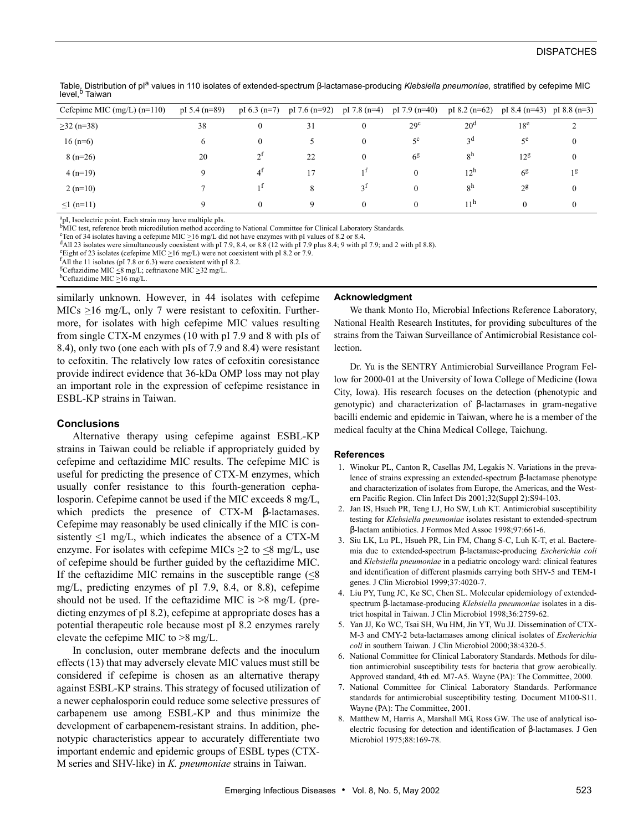## **DISPATCHES**

Table. Distribution of pl<sup>a</sup> values in 110 isolates of extended-spectrum β-lactamase-producing Klebsiella pneumoniae, stratified by cefepime MIC level,<sup>b</sup> Taiwan

| Cefepime MIC $(mg/L)$ $(n=110)$ | $pI 5.4 (n=89)$ | pI $6.3$ (n=7) | pI 7.6 $(n=92)$ | pI 7.8 $(n=4)$ | pI 7.9 $(n=40)$ | $pI 8.2 (n=62)$ | pI 8.4 $(n=43)$ pI 8.8 $(n=3)$ |                |
|---------------------------------|-----------------|----------------|-----------------|----------------|-----------------|-----------------|--------------------------------|----------------|
| $\geq$ 32 (n=38)                | 38              | $\bf{0}$       | 31              | $\mathbf{0}$   | 29 <sup>c</sup> | $20^{\rm d}$    | 18 <sup>e</sup>                | $\sim$         |
| $16(n=6)$                       | 6               | $\mathbf{0}$   |                 | $\bf{0}$       | $5^{\circ}$     | <sub>3</sub> d  | $\tau$ e                       | $\mathbf{0}$   |
| $8(n=26)$                       | 20              | $2^1$          | 22              | $\mathbf{0}$   | 6 <sup>g</sup>  | 8 <sup>h</sup>  | 12g                            | $\mathbf{0}$   |
| $4(n=19)$                       | Q               | $4^{\dagger}$  | 17              | 1 <sup>1</sup> | $\mathbf{0}$    | $12^h$          | 6 <sup>g</sup>                 | 1 <sup>g</sup> |
| $2(n=10)$                       |                 | τĪ             | 8               | 3 <sup>I</sup> | $\Omega$        | 8 <sup>h</sup>  | $2^{\mathsf{g}}$               | $\mathbf{0}$   |
| $\leq 1$ (n=11)                 | Q               | $\theta$       | 9               | $\mathbf{0}$   | $\theta$        | 11 <sup>h</sup> | $\theta$                       | $\theta$       |
|                                 |                 |                |                 |                |                 |                 |                                |                |

<sup>a</sup>pI, Isoelectric point. Each strain may have multiple pIs.<br><sup>b</sup>MIC test, reference broth microdilution method according to National Committee for Clinical Laboratory Standards.<br><sup>CT</sup>en of 34 isolates having a cefenime MIC

<sup>c</sup> Ten of 34 isolates having a cefepime MIC  $\geq$ 16 mg/L did not have enzymes with pI values of 8.2 or 8.4.

 $<sup>d</sup>$ All 23 isolates were simultaneously coexistent with pI 7.9, 8.4, or 8.8 (12 with pI 7.9 plus 8.4; 9 with pI 7.9; and 2 with pI 8.8).</sup>

etight of 23 isolates (cefepime MIC  $\geq$ 16 mg/L) were not coexistent with pI 8.2 or 7.9.

 ${}^{\text{f}}$ All the 11 isolates (pI 7.8 or 6.3) were coexistent with pI 8.2.

#### **Acknowledgment**

similarly unknown. However, in 44 isolates with cefepime MICs  $\geq$ 16 mg/L, only 7 were resistant to cefoxitin. Furthermore, for isolates with high cefepime MIC values resulting from single CTX-M enzymes (10 with pI 7.9 and 8 with pIs of 8.4), only two (one each with pIs of 7.9 and 8.4) were resistant to cefoxitin. The relatively low rates of cefoxitin coresistance provide indirect evidence that 36-kDa OMP loss may not play an important role in the expression of cefepime resistance in ESBL-KP strains in Taiwan.

## **Conclusions**

Alternative therapy using cefepime against ESBL-KP strains in Taiwan could be reliable if appropriately guided by cefepime and ceftazidime MIC results. The cefepime MIC is useful for predicting the presence of CTX-M enzymes, which usually confer resistance to this fourth-generation cephalosporin. Cefepime cannot be used if the MIC exceeds 8 mg/L, which predicts the presence of CTX-M β-lactamases. Cefepime may reasonably be used clinically if the MIC is consistently  $\leq$ 1 mg/L, which indicates the absence of a CTX-M enzyme. For isolates with cefepime MICs  $>2$  to  $\leq 8$  mg/L, use of cefepime should be further guided by the ceftazidime MIC. If the ceftazidime MIC remains in the susceptible range  $\ll 8$ mg/L, predicting enzymes of pI 7.9, 8.4, or 8.8), cefepime should not be used. If the ceftazidime MIC is  $>8$  mg/L (predicting enzymes of pI 8.2), cefepime at appropriate doses has a potential therapeutic role because most pI 8.2 enzymes rarely elevate the cefepime MIC to >8 mg/L.

In conclusion, outer membrane defects and the inoculum effects (13) that may adversely elevate MIC values must still be considered if cefepime is chosen as an alternative therapy against ESBL-KP strains. This strategy of focused utilization of a newer cephalosporin could reduce some selective pressures of carbapenem use among ESBL-KP and thus minimize the development of carbapenem-resistant strains. In addition, phenotypic characteristics appear to accurately differentiate two important endemic and epidemic groups of ESBL types (CTX-M series and SHV-like) in *K. pneumoniae* strains in Taiwan.

We thank Monto Ho, Microbial Infections Reference Laboratory, National Health Research Institutes, for providing subcultures of the strains from the Taiwan Surveillance of Antimicrobial Resistance collection.

Dr. Yu is the SENTRY Antimicrobial Surveillance Program Fellow for 2000-01 at the University of Iowa College of Medicine (Iowa City, Iowa). His research focuses on the detection (phenotypic and genotypic) and characterization of β-lactamases in gram-negative bacilli endemic and epidemic in Taiwan, where he is a member of the medical faculty at the China Medical College, Taichung.

#### **References**

- 1. Winokur PL, Canton R, Casellas JM, Legakis N. Variations in the prevalence of strains expressing an extended-spectrum β-lactamase phenotype and characterization of isolates from Europe, the Americas, and the Western Pacific Region. Clin Infect Dis 2001;32(Suppl 2):S94-103.
- 2. Jan IS, Hsueh PR, Teng LJ, Ho SW, Luh KT. Antimicrobial susceptibility testing for *Klebsiella pneumoniae* isolates resistant to extended-spectrum β-lactam antibiotics. J Formos Med Assoc 1998;97:661-6.
- 3. Siu LK, Lu PL, Hsueh PR, Lin FM, Chang S-C, Luh K-T, et al. Bacteremia due to extended-spectrum β-lactamase-producing *Escherichia coli* and *Klebsiella pneumoniae* in a pediatric oncology ward: clinical features and identification of different plasmids carrying both SHV-5 and TEM-1 genes. J Clin Microbiol 1999;37:4020-7.
- 4. Liu PY, Tung JC, Ke SC, Chen SL. Molecular epidemiology of extendedspectrum β-lactamase-producing *Klebsiella pneumoniae* isolates in a district hospital in Taiwan. J Clin Microbiol 1998;36:2759-62.
- 5. Yan JJ, Ko WC, Tsai SH, Wu HM, Jin YT, Wu JJ. Dissemination of CTX-M-3 and CMY-2 beta-lactamases among clinical isolates of *Escherichia coli* in southern Taiwan. J Clin Microbiol 2000;38:4320-5.
- 6. National Committee for Clinical Laboratory Standards. Methods for dilution antimicrobial susceptibility tests for bacteria that grow aerobically. Approved standard, 4th ed. M7-A5. Wayne (PA): The Committee, 2000.
- 7. National Committee for Clinical Laboratory Standards. Performance standards for antimicrobial susceptibility testing. Document M100-S11. Wayne (PA): The Committee, 2001.
- 8. Matthew M, Harris A, Marshall MG, Ross GW. The use of analytical isoelectric focusing for detection and identification of β-lactamases. J Gen Microbiol 1975;88:169-78.

<sup>&</sup>lt;sup>g</sup>Ceftazidime MIC ≤8 mg/L; ceftriaxone MIC ≥32 mg/L.<br><sup>h</sup>Ceftazidime MIC ≥16 mg/L.